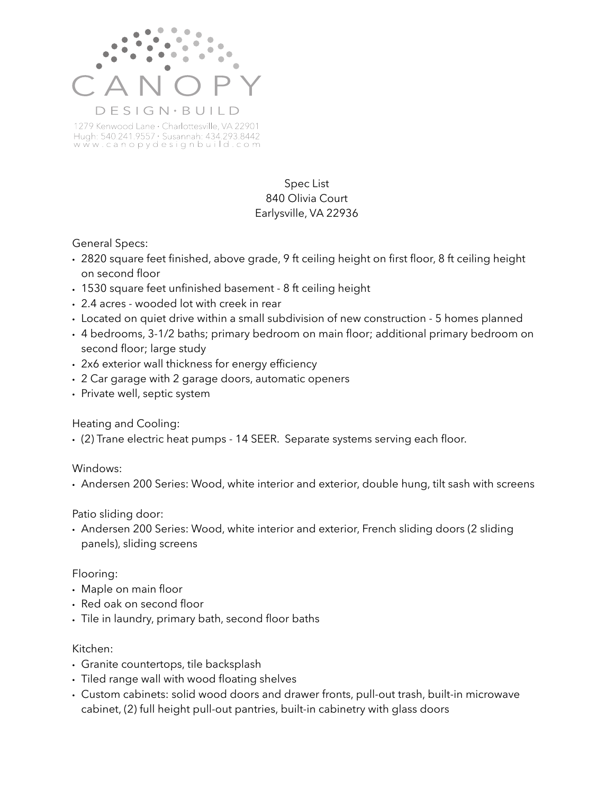

## Spec List 840 Olivia Court Earlysville, VA 22936

General Specs:

- 2820 square feet finished, above grade, 9 ft ceiling height on first floor, 8 ft ceiling height on second floor
- 1530 square feet unfinished basement 8 ft ceiling height
- 2.4 acres wooded lot with creek in rear
- Located on quiet drive within a small subdivision of new construction 5 homes planned
- 4 bedrooms, 3-1/2 baths; primary bedroom on main floor; additional primary bedroom on second floor; large study
- 2x6 exterior wall thickness for energy efficiency
- 2 Car garage with 2 garage doors, automatic openers
- Private well, septic system

Heating and Cooling:

• (2) Trane electric heat pumps - 14 SEER. Separate systems serving each floor.

Windows:

• Andersen 200 Series: Wood, white interior and exterior, double hung, tilt sash with screens

Patio sliding door:

• Andersen 200 Series: Wood, white interior and exterior, French sliding doors (2 sliding panels), sliding screens

## Flooring:

- Maple on main floor
- Red oak on second floor
- Tile in laundry, primary bath, second floor baths

## Kitchen:

- Granite countertops, tile backsplash
- Tiled range wall with wood floating shelves
- Custom cabinets: solid wood doors and drawer fronts, pull-out trash, built-in microwave cabinet, (2) full height pull-out pantries, built-in cabinetry with glass doors